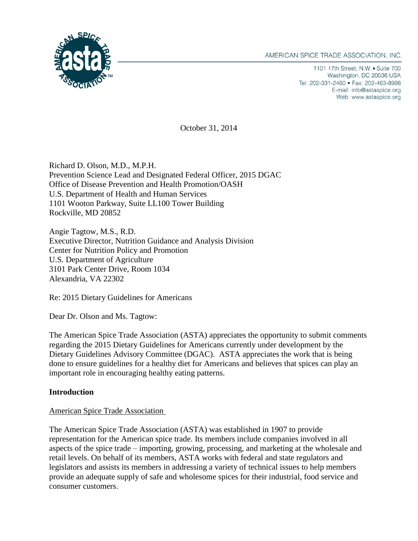

1101 17th Street, N.W. • Suite 700 Washington, DC 20036 USA Tel: 202-331-2460 • Fax: 202-463-8998 E-mail: info@astaspice.org Web: www.astaspice.org

October 31, 2014

Richard D. Olson, M.D., M.P.H. Prevention Science Lead and Designated Federal Officer, 2015 DGAC Office of Disease Prevention and Health Promotion/OASH U.S. Department of Health and Human Services 1101 Wooton Parkway, Suite LL100 Tower Building Rockville, MD 20852

Angie Tagtow, M.S., R.D. Executive Director, Nutrition Guidance and Analysis Division Center for Nutrition Policy and Promotion U.S. Department of Agriculture 3101 Park Center Drive, Room 1034 Alexandria, VA 22302

Re: 2015 Dietary Guidelines for Americans

Dear Dr. Olson and Ms. Tagtow:

The American Spice Trade Association (ASTA) appreciates the opportunity to submit comments regarding the 2015 Dietary Guidelines for Americans currently under development by the Dietary Guidelines Advisory Committee (DGAC). ASTA appreciates the work that is being done to ensure guidelines for a healthy diet for Americans and believes that spices can play an important role in encouraging healthy eating patterns.

## **Introduction**

## American Spice Trade Association

The American Spice Trade Association (ASTA) was established in 1907 to provide representation for the American spice trade. Its members include companies involved in all aspects of the spice trade – importing, growing, processing, and marketing at the wholesale and retail levels. On behalf of its members, ASTA works with federal and state regulators and legislators and assists its members in addressing a variety of technical issues to help members provide an adequate supply of safe and wholesome spices for their industrial, food service and consumer customers.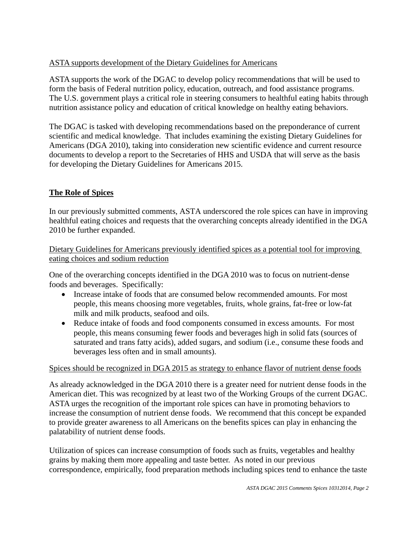# ASTA supports development of the Dietary Guidelines for Americans

ASTA supports the work of the DGAC to develop policy recommendations that will be used to form the basis of Federal nutrition policy, education, outreach, and food assistance programs. The U.S. government plays a critical role in steering consumers to healthful eating habits through nutrition assistance policy and education of critical knowledge on healthy eating behaviors.

The DGAC is tasked with developing recommendations based on the preponderance of current scientific and medical knowledge. That includes examining the existing Dietary Guidelines for Americans (DGA 2010), taking into consideration new scientific evidence and current resource documents to develop a report to the Secretaries of HHS and USDA that will serve as the basis for developing the Dietary Guidelines for Americans 2015.

## **The Role of Spices**

In our previously submitted comments, ASTA underscored the role spices can have in improving healthful eating choices and requests that the overarching concepts already identified in the DGA 2010 be further expanded.

Dietary Guidelines for Americans previously identified spices as a potential tool for improving eating choices and sodium reduction

One of the overarching concepts identified in the DGA 2010 was to focus on nutrient-dense foods and beverages. Specifically:

- Increase intake of foods that are consumed below recommended amounts. For most people, this means choosing more vegetables, fruits, whole grains, fat-free or low-fat milk and milk products, seafood and oils.
- Reduce intake of foods and food components consumed in excess amounts. For most people, this means consuming fewer foods and beverages high in solid fats (sources of saturated and trans fatty acids), added sugars, and sodium (i.e., consume these foods and beverages less often and in small amounts).

## Spices should be recognized in DGA 2015 as strategy to enhance flavor of nutrient dense foods

As already acknowledged in the DGA 2010 there is a greater need for nutrient dense foods in the American diet. This was recognized by at least two of the Working Groups of the current DGAC. ASTA urges the recognition of the important role spices can have in promoting behaviors to increase the consumption of nutrient dense foods. We recommend that this concept be expanded to provide greater awareness to all Americans on the benefits spices can play in enhancing the palatability of nutrient dense foods.

Utilization of spices can increase consumption of foods such as fruits, vegetables and healthy grains by making them more appealing and taste better. As noted in our previous correspondence, empirically, food preparation methods including spices tend to enhance the taste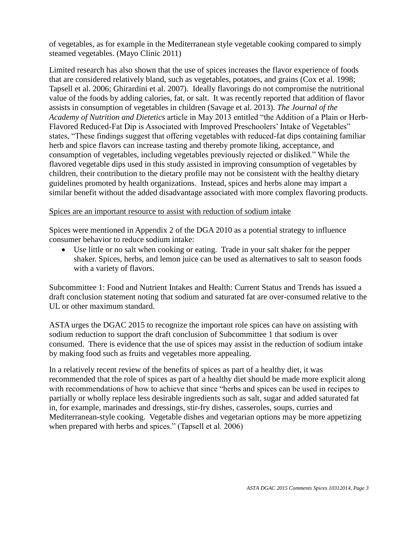of vegetables, as for example in the Mediterranean style vegetable cooking compared to simply steamed vegetables. (Mayo Clinic 2011)

Limited research has also shown that the use of spices increases the flavor experience of foods that are considered relatively bland, such as vegetables, potatoes, and grains (Cox et al. 1998; Tapsell et al. 2006; Ghirardini et al. 2007). Ideally flavorings do not compromise the nutritional value of the foods by adding calories, fat, or salt. It was recently reported that addition of flavor assists in consumption of vegetables in children (Savage et al. 2013). *The Journal of the Academy of Nutrition and Dietetics* article in May 2013 entitled "the Addition of a Plain or Herb-Flavored Reduced-Fat Dip is Associated with Improved Preschoolers' Intake of Vegetables" states, "These findings suggest that offering vegetables with reduced-fat dips containing familiar herb and spice flavors can increase tasting and thereby promote liking, acceptance, and consumption of vegetables, including vegetables previously rejected or disliked." While the flavored vegetable dips used in this study assisted in improving consumption of vegetables by children, their contribution to the dietary profile may not be consistent with the healthy dietary guidelines promoted by health organizations. Instead, spices and herbs alone may impart a similar benefit without the added disadvantage associated with more complex flavoring products.

#### Spices are an important resource to assist with reduction of sodium intake

Spices were mentioned in Appendix 2 of the DGA 2010 as a potential strategy to influence consumer behavior to reduce sodium intake:

 Use little or no salt when cooking or eating. Trade in your salt shaker for the pepper shaker. Spices, herbs, and lemon juice can be used as alternatives to salt to season foods with a variety of flavors.

Subcommittee 1: Food and Nutrient Intakes and Health: Current Status and Trends has issued a draft conclusion statement noting that sodium and saturated fat are over-consumed relative to the UL or other maximum standard.

ASTA urges the DGAC 2015 to recognize the important role spices can have on assisting with sodium reduction to support the draft conclusion of Subcommittee 1 that sodium is over consumed. There is evidence that the use of spices may assist in the reduction of sodium intake by making food such as fruits and vegetables more appealing.

In a relatively recent review of the benefits of spices as part of a healthy diet, it was recommended that the role of spices as part of a healthy diet should be made more explicit along with recommendations of how to achieve that since "herbs and spices can be used in recipes to partially or wholly replace less desirable ingredients such as salt, sugar and added saturated fat in, for example, marinades and dressings, stir-fry dishes, casseroles, soups, curries and Mediterranean-style cooking. Vegetable dishes and vegetarian options may be more appetizing when prepared with herbs and spices." (Tapsell et al. 2006)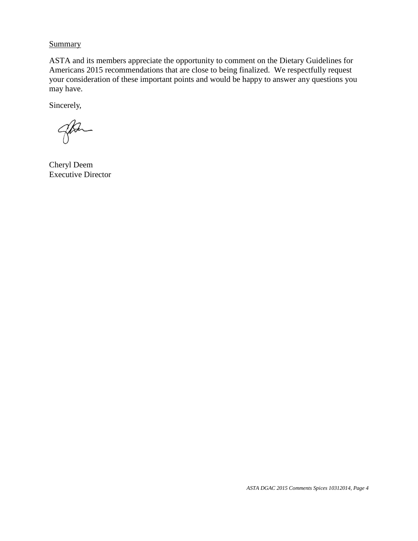**Summary** 

ASTA and its members appreciate the opportunity to comment on the Dietary Guidelines for Americans 2015 recommendations that are close to being finalized. We respectfully request your consideration of these important points and would be happy to answer any questions you may have.

Sincerely,

go

Cheryl Deem Executive Director